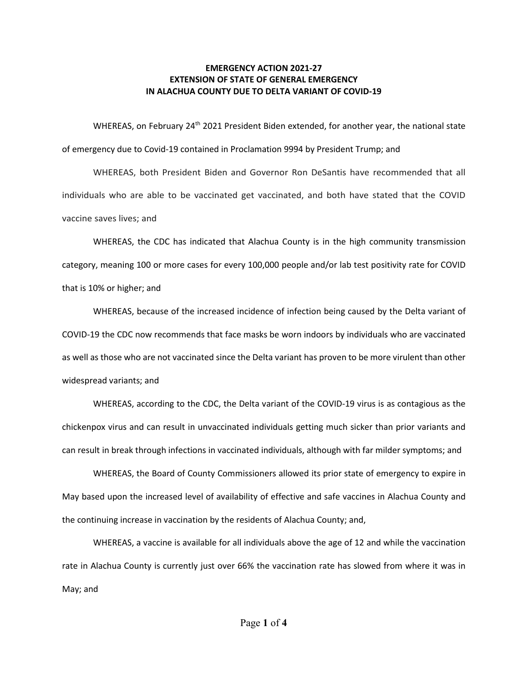## **EMERGENCY ACTION 2021-27 EXTENSION OF STATE OF GENERAL EMERGENCY IN ALACHUA COUNTY DUE TO DELTA VARIANT OF COVID-19**

WHEREAS, on February 24<sup>th</sup> 2021 President Biden extended, for another year, the national state of emergency due to Covid-19 contained in Proclamation 9994 by President Trump; and

WHEREAS, both President Biden and Governor Ron DeSantis have recommended that all individuals who are able to be vaccinated get vaccinated, and both have stated that the COVID vaccine saves lives; and

WHEREAS, the CDC has indicated that Alachua County is in the high community transmission category, meaning 100 or more cases for every 100,000 people and/or lab test positivity rate for COVID that is 10% or higher; and

WHEREAS, because of the increased incidence of infection being caused by the Delta variant of COVID-19 the CDC now recommends that face masks be worn indoors by individuals who are vaccinated as well as those who are not vaccinated since the Delta variant has proven to be more virulent than other widespread variants; and

WHEREAS, according to the CDC, the Delta variant of the COVID-19 virus is as contagious as the chickenpox virus and can result in unvaccinated individuals getting much sicker than prior variants and can result in break through infections in vaccinated individuals, although with far milder symptoms; and

WHEREAS, the Board of County Commissioners allowed its prior state of emergency to expire in May based upon the increased level of availability of effective and safe vaccines in Alachua County and the continuing increase in vaccination by the residents of Alachua County; and,

WHEREAS, a vaccine is available for all individuals above the age of 12 and while the vaccination rate in Alachua County is currently just over 66% the vaccination rate has slowed from where it was in May; and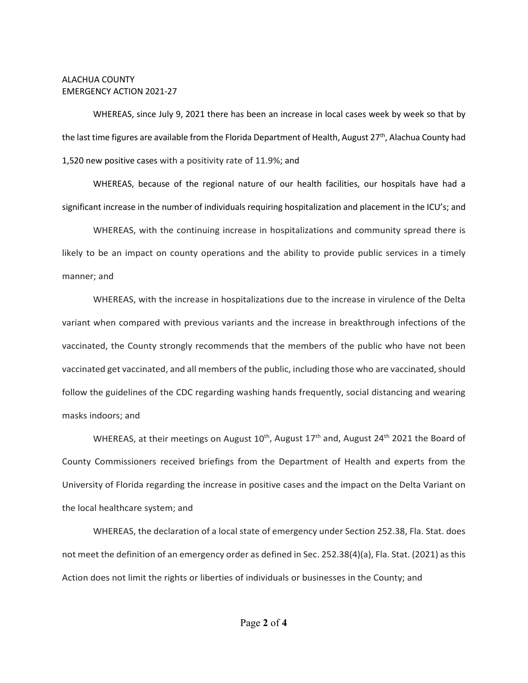## ALACHUA COUNTY EMERGENCY ACTION 2021-27

WHEREAS, since July 9, 2021 there has been an increase in local cases week by week so that by the last time figures are available from the Florida Department of Health, August  $27<sup>th</sup>$ , Alachua County had 1,520 new positive cases with a positivity rate of 11.9%; and

WHEREAS, because of the regional nature of our health facilities, our hospitals have had a significant increase in the number of individuals requiring hospitalization and placement in the ICU's; and

WHEREAS, with the continuing increase in hospitalizations and community spread there is likely to be an impact on county operations and the ability to provide public services in a timely manner; and

WHEREAS, with the increase in hospitalizations due to the increase in virulence of the Delta variant when compared with previous variants and the increase in breakthrough infections of the vaccinated, the County strongly recommends that the members of the public who have not been vaccinated get vaccinated, and all members of the public, including those who are vaccinated, should follow the guidelines of the CDC regarding washing hands frequently, social distancing and wearing masks indoors; and

WHEREAS, at their meetings on August  $10^{th}$ , August  $17^{th}$  and, August  $24^{th}$  2021 the Board of County Commissioners received briefings from the Department of Health and experts from the University of Florida regarding the increase in positive cases and the impact on the Delta Variant on the local healthcare system; and

WHEREAS, the declaration of a local state of emergency under Section 252.38, Fla. Stat. does not meet the definition of an emergency order as defined in Sec. 252.38(4)(a), Fla. Stat. (2021) as this Action does not limit the rights or liberties of individuals or businesses in the County; and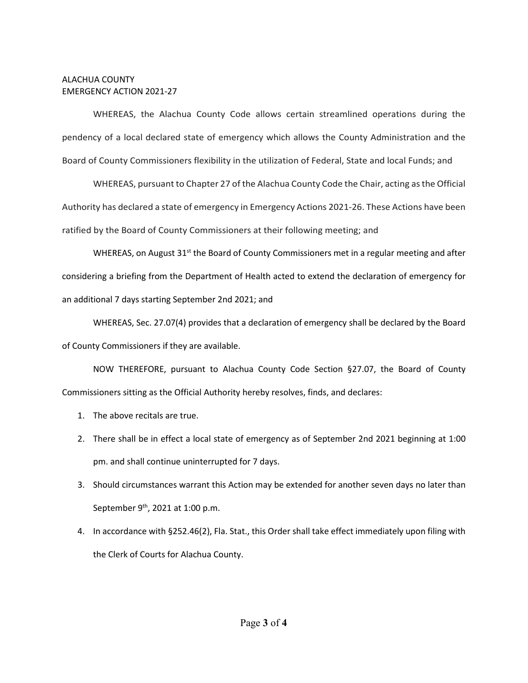## ALACHUA COUNTY EMERGENCY ACTION 2021-27

WHEREAS, the Alachua County Code allows certain streamlined operations during the pendency of a local declared state of emergency which allows the County Administration and the Board of County Commissioners flexibility in the utilization of Federal, State and local Funds; and

WHEREAS, pursuant to Chapter 27 of the Alachua County Code the Chair, acting as the Official Authority has declared a state of emergency in Emergency Actions 2021-26. These Actions have been ratified by the Board of County Commissioners at their following meeting; and

WHEREAS, on August  $31<sup>st</sup>$  the Board of County Commissioners met in a regular meeting and after considering a briefing from the Department of Health acted to extend the declaration of emergency for an additional 7 days starting September 2nd 2021; and

WHEREAS, Sec. 27.07(4) provides that a declaration of emergency shall be declared by the Board of County Commissioners if they are available.

NOW THEREFORE, pursuant to Alachua County Code Section §27.07, the Board of County Commissioners sitting as the Official Authority hereby resolves, finds, and declares:

- 1. The above recitals are true.
- 2. There shall be in effect a local state of emergency as of September 2nd 2021 beginning at 1:00 pm. and shall continue uninterrupted for 7 days.
- 3. Should circumstances warrant this Action may be extended for another seven days no later than September 9<sup>th</sup>, 2021 at 1:00 p.m.
- 4. In accordance with §252.46(2), Fla. Stat., this Order shall take effect immediately upon filing with the Clerk of Courts for Alachua County.